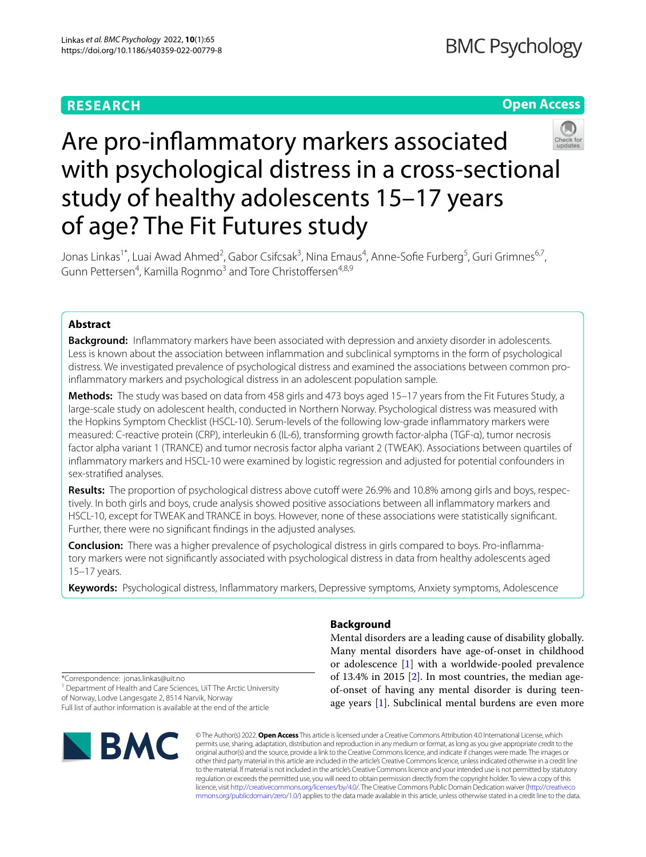# **RESEARCH**

# **Open Access**



# Are pro-infammatory markers associated with psychological distress in a cross-sectional study of healthy adolescents 15–17 years of age? The Fit Futures study

Jonas Linkas<sup>1\*</sup>, Luai Awad Ahmed<sup>2</sup>, Gabor Csifcsak<sup>3</sup>, Nina Emaus<sup>4</sup>, Anne-Sofie Furberg<sup>5</sup>, Guri Grimnes<sup>6,7</sup>, Gunn Pettersen<sup>4</sup>, Kamilla Rognmo<sup>3</sup> and Tore Christoffersen<sup>4,8,9</sup>

## **Abstract**

**Background:** Infammatory markers have been associated with depression and anxiety disorder in adolescents. Less is known about the association between infammation and subclinical symptoms in the form of psychological distress. We investigated prevalence of psychological distress and examined the associations between common proinfammatory markers and psychological distress in an adolescent population sample.

**Methods:** The study was based on data from 458 girls and 473 boys aged 15–17 years from the Fit Futures Study, a large-scale study on adolescent health, conducted in Northern Norway. Psychological distress was measured with the Hopkins Symptom Checklist (HSCL-10). Serum-levels of the following low-grade infammatory markers were measured: C-reactive protein (CRP), interleukin 6 (IL-6), transforming growth factor-alpha (TGF-α), tumor necrosis factor alpha variant 1 (TRANCE) and tumor necrosis factor alpha variant 2 (TWEAK). Associations between quartiles of infammatory markers and HSCL-10 were examined by logistic regression and adjusted for potential confounders in sex-stratifed analyses.

Results: The proportion of psychological distress above cutoff were 26.9% and 10.8% among girls and boys, respectively. In both girls and boys, crude analysis showed positive associations between all infammatory markers and HSCL-10, except for TWEAK and TRANCE in boys. However, none of these associations were statistically signifcant. Further, there were no signifcant fndings in the adjusted analyses.

**Conclusion:** There was a higher prevalence of psychological distress in girls compared to boys. Pro-inflammatory markers were not signifcantly associated with psychological distress in data from healthy adolescents aged 15–17 years.

**Keywords:** Psychological distress, Infammatory markers, Depressive symptoms, Anxiety symptoms, Adolescence

## **Background**

Mental disorders are a leading cause of disability globally. Many mental disorders have age-of-onset in childhood or adolescence [\[1](#page-10-0)] with a worldwide-pooled prevalence of 13.4% in 2015 [\[2](#page-10-1)]. In most countries, the median ageof-onset of having any mental disorder is during teenage years [\[1](#page-10-0)]. Subclinical mental burdens are even more

\*Correspondence: jonas.linkas@uit.no

<sup>1</sup> Department of Health and Care Sciences, UiT The Arctic University of Norway, Lodve Langesgate 2, 8514 Narvik, Norway

Full list of author information is available at the end of the article



© The Author(s) 2022. **Open Access** This article is licensed under a Creative Commons Attribution 4.0 International License, which permits use, sharing, adaptation, distribution and reproduction in any medium or format, as long as you give appropriate credit to the original author(s) and the source, provide a link to the Creative Commons licence, and indicate if changes were made. The images or other third party material in this article are included in the article's Creative Commons licence, unless indicated otherwise in a credit line to the material. If material is not included in the article's Creative Commons licence and your intended use is not permitted by statutory regulation or exceeds the permitted use, you will need to obtain permission directly from the copyright holder. To view a copy of this licence, visit [http://creativecommons.org/licenses/by/4.0/.](http://creativecommons.org/licenses/by/4.0/) The Creative Commons Public Domain Dedication waiver ([http://creativeco](http://creativecommons.org/publicdomain/zero/1.0/) [mmons.org/publicdomain/zero/1.0/](http://creativecommons.org/publicdomain/zero/1.0/)) applies to the data made available in this article, unless otherwise stated in a credit line to the data.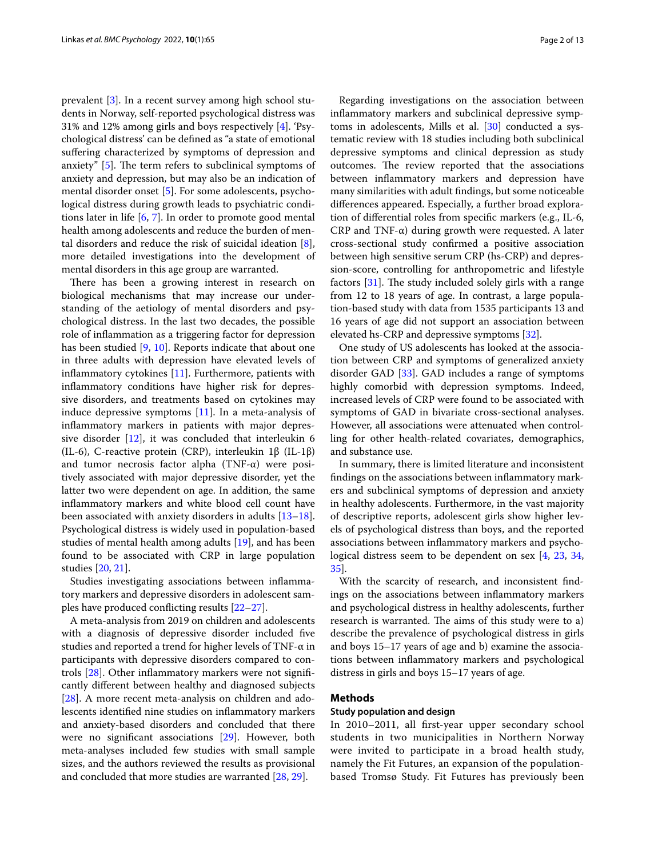prevalent [\[3](#page-10-2)]. In a recent survey among high school students in Norway, self-reported psychological distress was 31% and 12% among girls and boys respectively [[4\]](#page-10-3). 'Psychological distress' can be defned as "a state of emotional suffering characterized by symptoms of depression and anxiety"  $[5]$  $[5]$ . The term refers to subclinical symptoms of anxiety and depression, but may also be an indication of mental disorder onset [\[5](#page-10-4)]. For some adolescents, psychological distress during growth leads to psychiatric conditions later in life [\[6](#page-10-5), [7](#page-10-6)]. In order to promote good mental health among adolescents and reduce the burden of mental disorders and reduce the risk of suicidal ideation [\[8](#page-10-7)], more detailed investigations into the development of mental disorders in this age group are warranted.

There has been a growing interest in research on biological mechanisms that may increase our understanding of the aetiology of mental disorders and psychological distress. In the last two decades, the possible role of infammation as a triggering factor for depression has been studied [[9,](#page-10-8) [10\]](#page-10-9). Reports indicate that about one in three adults with depression have elevated levels of inflammatory cytokines  $[11]$  $[11]$ . Furthermore, patients with infammatory conditions have higher risk for depressive disorders, and treatments based on cytokines may induce depressive symptoms [\[11](#page-10-10)]. In a meta-analysis of infammatory markers in patients with major depressive disorder [[12](#page-10-11)], it was concluded that interleukin 6 (IL-6), C-reactive protein (CRP), interleukin 1β (IL-1β) and tumor necrosis factor alpha (TNF-α) were positively associated with major depressive disorder, yet the latter two were dependent on age. In addition, the same infammatory markers and white blood cell count have been associated with anxiety disorders in adults [[13](#page-10-12)[–18](#page-10-13)]. Psychological distress is widely used in population-based studies of mental health among adults [[19\]](#page-10-14), and has been found to be associated with CRP in large population studies [[20,](#page-10-15) [21\]](#page-11-0).

Studies investigating associations between infammatory markers and depressive disorders in adolescent samples have produced conficting results [[22–](#page-11-1)[27\]](#page-11-2).

A meta-analysis from 2019 on children and adolescents with a diagnosis of depressive disorder included five studies and reported a trend for higher levels of TNF-α in participants with depressive disorders compared to controls [\[28](#page-11-3)]. Other infammatory markers were not signifcantly diferent between healthy and diagnosed subjects [[28\]](#page-11-3). A more recent meta-analysis on children and adolescents identifed nine studies on infammatory markers and anxiety-based disorders and concluded that there were no signifcant associations [[29\]](#page-11-4). However, both meta-analyses included few studies with small sample sizes, and the authors reviewed the results as provisional and concluded that more studies are warranted [\[28](#page-11-3), [29\]](#page-11-4).

Regarding investigations on the association between infammatory markers and subclinical depressive symptoms in adolescents, Mills et al.  $[30]$  $[30]$  conducted a systematic review with 18 studies including both subclinical depressive symptoms and clinical depression as study outcomes. The review reported that the associations between infammatory markers and depression have many similarities with adult fndings, but some noticeable diferences appeared. Especially, a further broad exploration of diferential roles from specifc markers (e.g., IL-6, CRP and TNF- $\alpha$ ) during growth were requested. A later cross-sectional study confrmed a positive association between high sensitive serum CRP (hs-CRP) and depression-score, controlling for anthropometric and lifestyle factors  $[31]$  $[31]$ . The study included solely girls with a range from 12 to 18 years of age. In contrast, a large population-based study with data from 1535 participants 13 and 16 years of age did not support an association between elevated hs-CRP and depressive symptoms [[32](#page-11-7)].

One study of US adolescents has looked at the association between CRP and symptoms of generalized anxiety disorder GAD [\[33](#page-11-8)]. GAD includes a range of symptoms highly comorbid with depression symptoms. Indeed, increased levels of CRP were found to be associated with symptoms of GAD in bivariate cross-sectional analyses. However, all associations were attenuated when controlling for other health-related covariates, demographics, and substance use.

In summary, there is limited literature and inconsistent fndings on the associations between infammatory markers and subclinical symptoms of depression and anxiety in healthy adolescents. Furthermore, in the vast majority of descriptive reports, adolescent girls show higher levels of psychological distress than boys, and the reported associations between infammatory markers and psychological distress seem to be dependent on sex [\[4](#page-10-3), [23,](#page-11-9) [34](#page-11-10), [35\]](#page-11-11).

With the scarcity of research, and inconsistent fndings on the associations between infammatory markers and psychological distress in healthy adolescents, further research is warranted. The aims of this study were to a) describe the prevalence of psychological distress in girls and boys 15–17 years of age and b) examine the associations between infammatory markers and psychological distress in girls and boys 15–17 years of age.

## **Methods**

#### **Study population and design**

In 2010–2011, all frst-year upper secondary school students in two municipalities in Northern Norway were invited to participate in a broad health study, namely the Fit Futures, an expansion of the populationbased Tromsø Study. Fit Futures has previously been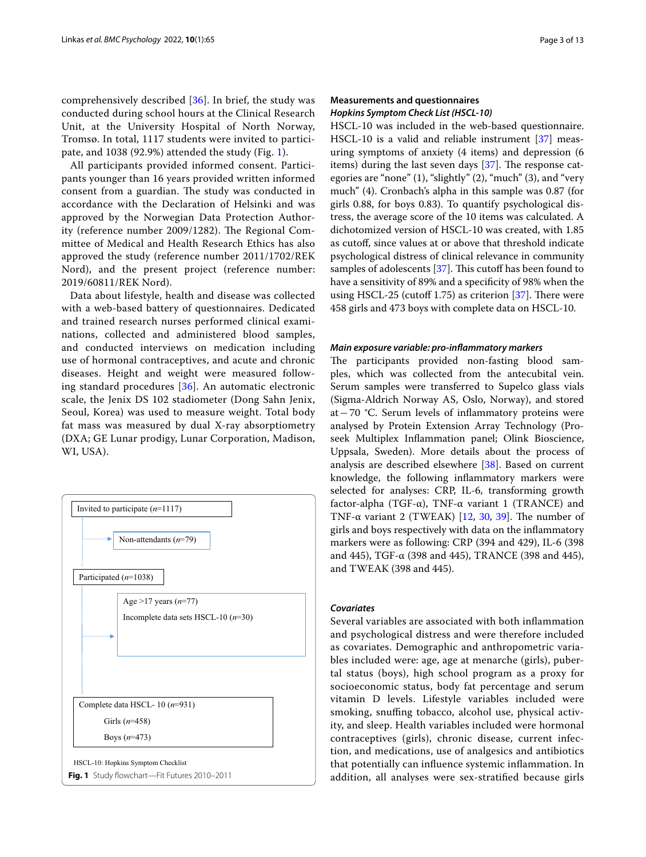comprehensively described [\[36\]](#page-11-12). In brief, the study was conducted during school hours at the Clinical Research Unit, at the University Hospital of North Norway, Tromsø. In total, 1117 students were invited to participate, and 1038 (92.9%) attended the study (Fig. [1](#page-2-0)).

All participants provided informed consent. Participants younger than 16 years provided written informed consent from a guardian. The study was conducted in accordance with the Declaration of Helsinki and was approved by the Norwegian Data Protection Authority (reference number 2009/1282). The Regional Committee of Medical and Health Research Ethics has also approved the study (reference number 2011/1702/REK Nord), and the present project (reference number: 2019/60811/REK Nord).

Data about lifestyle, health and disease was collected with a web-based battery of questionnaires. Dedicated and trained research nurses performed clinical examinations, collected and administered blood samples, and conducted interviews on medication including use of hormonal contraceptives, and acute and chronic diseases. Height and weight were measured following standard procedures [[36\]](#page-11-12). An automatic electronic scale, the Jenix DS 102 stadiometer (Dong Sahn Jenix, Seoul, Korea) was used to measure weight. Total body fat mass was measured by dual X-ray absorptiometry (DXA; GE Lunar prodigy, Lunar Corporation, Madison, WI, USA).

<span id="page-2-0"></span>

## **Measurements and questionnaires** *Hopkins Symptom Check List (HSCL‑10)*

HSCL-10 was included in the web-based questionnaire. HSCL-10 is a valid and reliable instrument [[37](#page-11-13)] measuring symptoms of anxiety (4 items) and depression (6 items) during the last seven days  $[37]$ . The response categories are "none" (1), "slightly" (2), "much" (3), and "very much" (4). Cronbach's alpha in this sample was 0.87 (for girls 0.88, for boys 0.83). To quantify psychological distress, the average score of the 10 items was calculated. A dichotomized version of HSCL-10 was created, with 1.85 as cutoff, since values at or above that threshold indicate psychological distress of clinical relevance in community samples of adolescents [[37](#page-11-13)]. This cutoff has been found to have a sensitivity of 89% and a specifcity of 98% when the using HSCL-25 (cutoff 1.75) as criterion  $[37]$ . There were 458 girls and 473 boys with complete data on HSCL-10.

#### *Main exposure variable: pro‑infammatory markers*

The participants provided non-fasting blood samples, which was collected from the antecubital vein. Serum samples were transferred to Supelco glass vials (Sigma-Aldrich Norway AS, Oslo, Norway), and stored at−70 °C. Serum levels of infammatory proteins were analysed by Protein Extension Array Technology (Proseek Multiplex Infammation panel; Olink Bioscience, Uppsala, Sweden). More details about the process of analysis are described elsewhere [\[38\]](#page-11-14). Based on current knowledge, the following infammatory markers were selected for analyses: CRP, IL-6, transforming growth factor-alpha (TGF- $\alpha$ ), TNF- $\alpha$  variant 1 (TRANCE) and TNF- $\alpha$  variant 2 (TWEAK) [\[12](#page-10-11), [30,](#page-11-5) [39](#page-11-15)]. The number of girls and boys respectively with data on the infammatory markers were as following: CRP (394 and 429), IL-6 (398 and 445), TGF-α (398 and 445), TRANCE (398 and 445), and TWEAK (398 and 445).

## *Covariates*

Several variables are associated with both infammation and psychological distress and were therefore included as covariates. Demographic and anthropometric variables included were: age, age at menarche (girls), pubertal status (boys), high school program as a proxy for socioeconomic status, body fat percentage and serum vitamin D levels. Lifestyle variables included were smoking, snuffing tobacco, alcohol use, physical activity, and sleep. Health variables included were hormonal contraceptives (girls), chronic disease, current infection, and medications, use of analgesics and antibiotics that potentially can infuence systemic infammation. In addition, all analyses were sex-stratifed because girls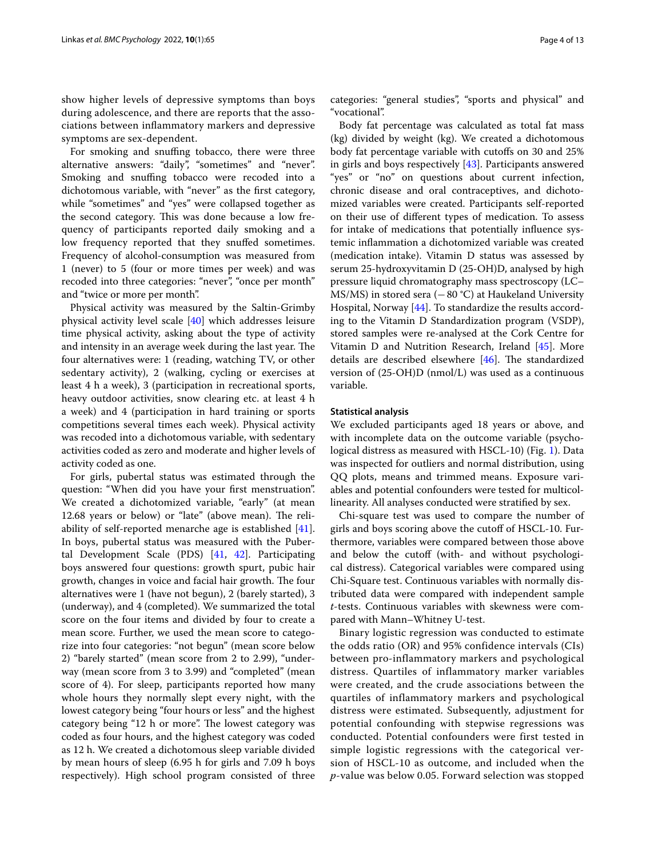show higher levels of depressive symptoms than boys during adolescence, and there are reports that the associations between infammatory markers and depressive symptoms are sex-dependent.

For smoking and snuffing tobacco, there were three alternative answers: "daily", "sometimes" and "never". Smoking and snuffing tobacco were recoded into a dichotomous variable, with "never" as the frst category, while "sometimes" and "yes" were collapsed together as the second category. This was done because a low frequency of participants reported daily smoking and a low frequency reported that they snufed sometimes. Frequency of alcohol-consumption was measured from 1 (never) to 5 (four or more times per week) and was recoded into three categories: "never", "once per month" and "twice or more per month".

Physical activity was measured by the Saltin-Grimby physical activity level scale [[40\]](#page-11-16) which addresses leisure time physical activity, asking about the type of activity and intensity in an average week during the last year. The four alternatives were: 1 (reading, watching TV, or other sedentary activity), 2 (walking, cycling or exercises at least 4 h a week), 3 (participation in recreational sports, heavy outdoor activities, snow clearing etc. at least 4 h a week) and 4 (participation in hard training or sports competitions several times each week). Physical activity was recoded into a dichotomous variable, with sedentary activities coded as zero and moderate and higher levels of activity coded as one.

For girls, pubertal status was estimated through the question: "When did you have your frst menstruation". We created a dichotomized variable, "early" (at mean 12.68 years or below) or "late" (above mean). The reliability of self-reported menarche age is established [\[41](#page-11-17)]. In boys, pubertal status was measured with the Pubertal Development Scale (PDS) [\[41](#page-11-17), [42\]](#page-11-18). Participating boys answered four questions: growth spurt, pubic hair growth, changes in voice and facial hair growth. The four alternatives were 1 (have not begun), 2 (barely started), 3 (underway), and 4 (completed). We summarized the total score on the four items and divided by four to create a mean score. Further, we used the mean score to categorize into four categories: "not begun" (mean score below 2) "barely started" (mean score from 2 to 2.99), "underway (mean score from 3 to 3.99) and "completed" (mean score of 4). For sleep, participants reported how many whole hours they normally slept every night, with the lowest category being "four hours or less" and the highest category being "12 h or more". The lowest category was coded as four hours, and the highest category was coded as 12 h. We created a dichotomous sleep variable divided by mean hours of sleep (6.95 h for girls and 7.09 h boys respectively). High school program consisted of three categories: "general studies", "sports and physical" and "vocational".

Body fat percentage was calculated as total fat mass (kg) divided by weight (kg). We created a dichotomous body fat percentage variable with cutofs on 30 and 25% in girls and boys respectively [[43\]](#page-11-19). Participants answered "yes" or "no" on questions about current infection, chronic disease and oral contraceptives, and dichotomized variables were created. Participants self-reported on their use of diferent types of medication. To assess for intake of medications that potentially infuence systemic infammation a dichotomized variable was created (medication intake). Vitamin D status was assessed by serum 25-hydroxyvitamin D (25-OH)D, analysed by high pressure liquid chromatography mass spectroscopy (LC– MS/MS) in stored sera (−80 °C) at Haukeland University Hospital, Norway [\[44](#page-11-20)]. To standardize the results according to the Vitamin D Standardization program (VSDP), stored samples were re-analysed at the Cork Centre for Vitamin D and Nutrition Research, Ireland [[45](#page-11-21)]. More details are described elsewhere  $[46]$  $[46]$ . The standardized version of (25-OH)D (nmol/L) was used as a continuous variable.

#### **Statistical analysis**

We excluded participants aged 18 years or above, and with incomplete data on the outcome variable (psychological distress as measured with HSCL-10) (Fig. [1](#page-2-0)). Data was inspected for outliers and normal distribution, using QQ plots, means and trimmed means. Exposure variables and potential confounders were tested for multicollinearity. All analyses conducted were stratifed by sex.

Chi-square test was used to compare the number of girls and boys scoring above the cutof of HSCL-10. Furthermore, variables were compared between those above and below the cutoff (with- and without psychological distress). Categorical variables were compared using Chi-Square test. Continuous variables with normally distributed data were compared with independent sample *t*-tests. Continuous variables with skewness were compared with Mann–Whitney U-test.

Binary logistic regression was conducted to estimate the odds ratio (OR) and 95% confidence intervals (CIs) between pro-inflammatory markers and psychological distress. Quartiles of inflammatory marker variables were created, and the crude associations between the quartiles of inflammatory markers and psychological distress were estimated. Subsequently, adjustment for potential confounding with stepwise regressions was conducted. Potential confounders were first tested in simple logistic regressions with the categorical version of HSCL-10 as outcome, and included when the *p*-value was below 0.05. Forward selection was stopped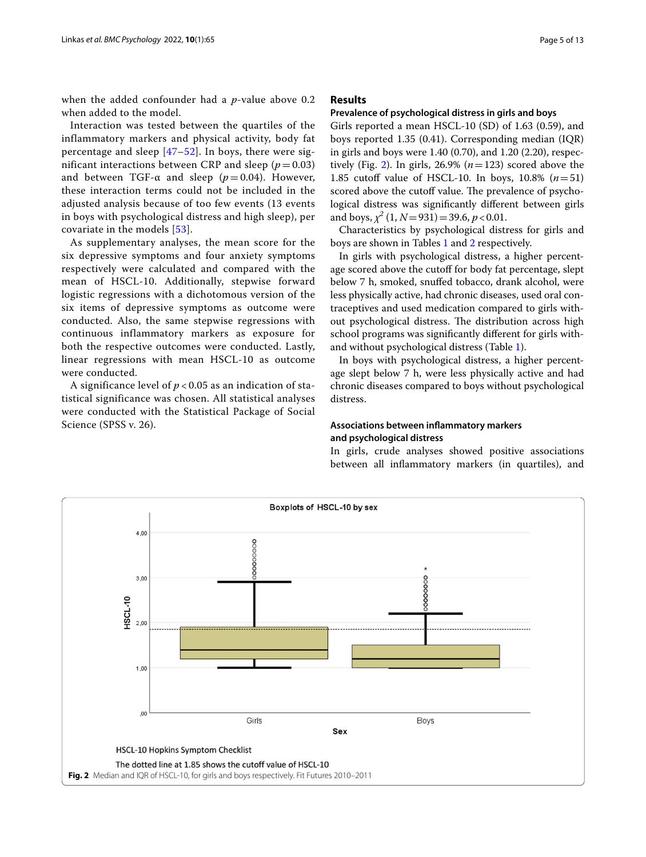when the added confounder had a *p*-value above 0.2 when added to the model.

Interaction was tested between the quartiles of the inflammatory markers and physical activity, body fat percentage and sleep [\[47–](#page-11-23)[52](#page-11-24)]. In boys, there were significant interactions between CRP and sleep  $(p=0.03)$ and between TGF- $\alpha$  and sleep ( $p = 0.04$ ). However, these interaction terms could not be included in the adjusted analysis because of too few events (13 events in boys with psychological distress and high sleep), per covariate in the models [[53](#page-11-25)].

As supplementary analyses, the mean score for the six depressive symptoms and four anxiety symptoms respectively were calculated and compared with the mean of HSCL-10. Additionally, stepwise forward logistic regressions with a dichotomous version of the six items of depressive symptoms as outcome were conducted. Also, the same stepwise regressions with continuous inflammatory markers as exposure for both the respective outcomes were conducted. Lastly, linear regressions with mean HSCL-10 as outcome were conducted.

A significance level of *p* < 0.05 as an indication of statistical significance was chosen. All statistical analyses were conducted with the Statistical Package of Social Science (SPSS v. 26).

## **Results**

#### **Prevalence of psychological distress in girls and boys**

Girls reported a mean HSCL-10 (SD) of 1.63 (0.59), and boys reported 1.35 (0.41). Corresponding median (IQR) in girls and boys were 1.40 (0.70), and 1.20 (2.20), respec-tively (Fig. [2](#page-4-0)). In girls,  $26.9\%$  ( $n=123$ ) scored above the 1.85 cutoff value of HSCL-10. In boys,  $10.8\%$  ( $n=51$ ) scored above the cutoff value. The prevalence of psychological distress was signifcantly diferent between girls and boys,  $\chi^2$  (1,  $N=931$ ) = 39.6,  $p < 0.01$ .

Characteristics by psychological distress for girls and boys are shown in Tables [1](#page-5-0) and [2](#page-7-0) respectively.

In girls with psychological distress, a higher percentage scored above the cutoff for body fat percentage, slept below 7 h, smoked, snufed tobacco, drank alcohol, were less physically active, had chronic diseases, used oral contraceptives and used medication compared to girls without psychological distress. The distribution across high school programs was signifcantly diferent for girls withand without psychological distress (Table [1](#page-5-0)).

In boys with psychological distress, a higher percentage slept below 7 h, were less physically active and had chronic diseases compared to boys without psychological distress.

## **Associations between infammatory markers and psychological distress**

In girls, crude analyses showed positive associations between all infammatory markers (in quartiles), and

<span id="page-4-0"></span>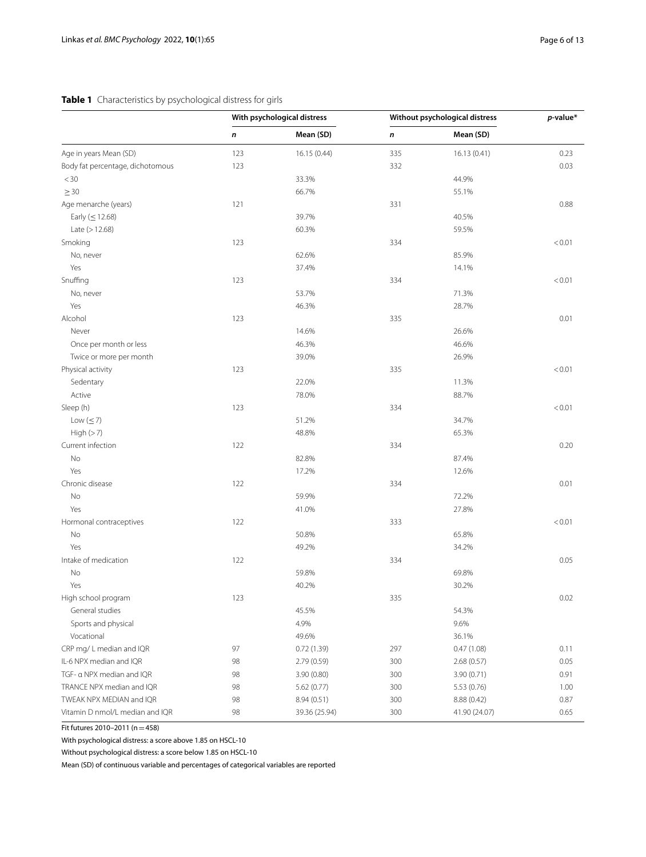## <span id="page-5-0"></span>**Table 1** Characteristics by psychological distress for girls

| Mean (SD)<br>Mean (SD)<br>n<br>n<br>Age in years Mean (SD)<br>123<br>16.15 (0.44)<br>335<br>16.13 (0.41)<br>123<br>Body fat percentage, dichotomous<br>332<br>$<$ 30<br>33.3%<br>44.9%<br>66.7%<br>$\geq 30$<br>55.1%<br>Age menarche (years)<br>121<br>331<br>40.5%<br>Early ( $\leq$ 12.68)<br>39.7%<br>Late $(>12.68)$<br>60.3%<br>59.5% | 0.23<br>0.03<br>0.88<br>< 0.01<br>< 0.01 |
|---------------------------------------------------------------------------------------------------------------------------------------------------------------------------------------------------------------------------------------------------------------------------------------------------------------------------------------------|------------------------------------------|
|                                                                                                                                                                                                                                                                                                                                             |                                          |
|                                                                                                                                                                                                                                                                                                                                             |                                          |
|                                                                                                                                                                                                                                                                                                                                             |                                          |
|                                                                                                                                                                                                                                                                                                                                             |                                          |
|                                                                                                                                                                                                                                                                                                                                             |                                          |
|                                                                                                                                                                                                                                                                                                                                             |                                          |
|                                                                                                                                                                                                                                                                                                                                             |                                          |
|                                                                                                                                                                                                                                                                                                                                             |                                          |
| Smoking<br>123<br>334                                                                                                                                                                                                                                                                                                                       |                                          |
| No, never<br>62.6%<br>85.9%                                                                                                                                                                                                                                                                                                                 |                                          |
| Yes<br>37.4%<br>14.1%                                                                                                                                                                                                                                                                                                                       |                                          |
| Snuffing<br>123<br>334                                                                                                                                                                                                                                                                                                                      |                                          |
| 53.7%<br>71.3%<br>No, never                                                                                                                                                                                                                                                                                                                 |                                          |
| Yes<br>46.3%<br>28.7%                                                                                                                                                                                                                                                                                                                       |                                          |
| Alcohol<br>123<br>335                                                                                                                                                                                                                                                                                                                       | 0.01                                     |
| Never<br>14.6%<br>26.6%                                                                                                                                                                                                                                                                                                                     |                                          |
| 46.3%<br>46.6%<br>Once per month or less                                                                                                                                                                                                                                                                                                    |                                          |
| 26.9%<br>Twice or more per month<br>39.0%                                                                                                                                                                                                                                                                                                   |                                          |
| Physical activity<br>123<br>335                                                                                                                                                                                                                                                                                                             | < 0.01                                   |
| Sedentary<br>22.0%<br>11.3%                                                                                                                                                                                                                                                                                                                 |                                          |
| Active<br>78.0%<br>88.7%                                                                                                                                                                                                                                                                                                                    |                                          |
| Sleep (h)<br>123<br>334                                                                                                                                                                                                                                                                                                                     | < 0.01                                   |
| Low $(\leq 7)$<br>51.2%<br>34.7%                                                                                                                                                                                                                                                                                                            |                                          |
| High $(>7)$<br>48.8%<br>65.3%                                                                                                                                                                                                                                                                                                               |                                          |
| Current infection<br>122<br>334                                                                                                                                                                                                                                                                                                             | 0.20                                     |
| No<br>82.8%<br>87.4%                                                                                                                                                                                                                                                                                                                        |                                          |
| Yes<br>17.2%<br>12.6%                                                                                                                                                                                                                                                                                                                       |                                          |
| Chronic disease<br>122<br>334                                                                                                                                                                                                                                                                                                               | 0.01                                     |
| No<br>59.9%<br>72.2%                                                                                                                                                                                                                                                                                                                        |                                          |
| Yes<br>41.0%<br>27.8%                                                                                                                                                                                                                                                                                                                       |                                          |
| Hormonal contraceptives<br>122<br>333                                                                                                                                                                                                                                                                                                       | < 0.01                                   |
| No<br>50.8%<br>65.8%                                                                                                                                                                                                                                                                                                                        |                                          |
| Yes<br>49.2%<br>34.2%                                                                                                                                                                                                                                                                                                                       |                                          |
| Intake of medication<br>122<br>334                                                                                                                                                                                                                                                                                                          | 0.05                                     |
| No<br>59.8%<br>69.8%                                                                                                                                                                                                                                                                                                                        |                                          |
| Yes<br>40.2%<br>30.2%                                                                                                                                                                                                                                                                                                                       |                                          |
| High school program<br>123<br>335                                                                                                                                                                                                                                                                                                           | 0.02                                     |
| General studies<br>45.5%<br>54.3%                                                                                                                                                                                                                                                                                                           |                                          |
| 4.9%<br>9.6%<br>Sports and physical                                                                                                                                                                                                                                                                                                         |                                          |
| 36.1%<br>Vocational<br>49.6%                                                                                                                                                                                                                                                                                                                |                                          |
| CRP mg/L median and IQR<br>97<br>0.72(1.39)<br>297<br>0.47(1.08)                                                                                                                                                                                                                                                                            | 0.11                                     |
| IL-6 NPX median and IQR<br>98<br>300<br>2.79(0.59)<br>2.68(0.57)                                                                                                                                                                                                                                                                            | 0.05                                     |
| TGF- a NPX median and IQR<br>98<br>300<br>3.90 (0.71)<br>3.90(0.80)                                                                                                                                                                                                                                                                         | 0.91                                     |
| TRANCE NPX median and IQR<br>98<br>300<br>5.62(0.77)<br>5.53 (0.76)                                                                                                                                                                                                                                                                         | 1.00                                     |
| TWEAK NPX MEDIAN and IQR<br>98<br>8.94 (0.51)<br>300<br>8.88 (0.42)                                                                                                                                                                                                                                                                         | 0.87                                     |
| Vitamin D nmol/L median and IQR<br>98<br>39.36 (25.94)<br>300<br>41.90 (24.07)                                                                                                                                                                                                                                                              | 0.65                                     |

Fit futures 2010–2011 (n=458)

With psychological distress: a score above 1.85 on HSCL-10

Without psychological distress: a score below 1.85 on HSCL-10

Mean (SD) of continuous variable and percentages of categorical variables are reported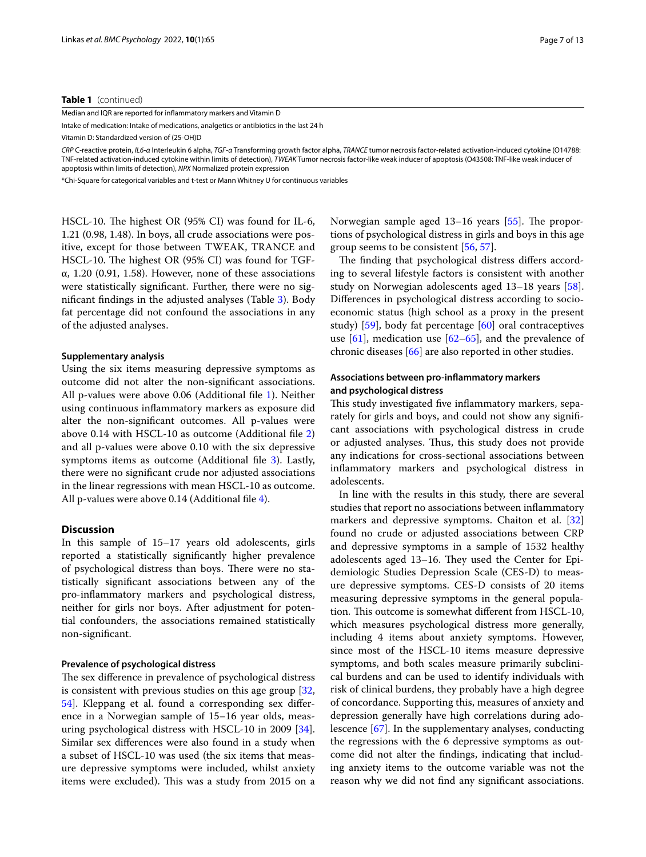#### **Table 1** (continued)

Median and IQR are reported for infammatory markers and Vitamin D

Intake of medication: Intake of medications, analgetics or antibiotics in the last 24 h Vitamin D: Standardized version of (25-OH)D

*CRP* C-reactive protein, *IL6-α* Interleukin 6 alpha, *TGF-α* Transforming growth factor alpha, *TRANCE* tumor necrosis factor-related activation-induced cytokine (O14788: TNF-related activation-induced cytokine within limits of detection), *TWEAK* Tumor necrosis factor-like weak inducer of apoptosis (O43508: TNF-like weak inducer of apoptosis within limits of detection), *NPX* Normalized protein expression

\*Chi-Square for categorical variables and t-test or Mann Whitney U for continuous variables

HSCL-10. The highest OR  $(95\% \text{ CI})$  was found for IL-6, 1.21 (0.98, 1.48). In boys, all crude associations were positive, except for those between TWEAK, TRANCE and HSCL-10. The highest OR (95% CI) was found for TGFα, 1.20 (0.91, 1.58). However, none of these associations were statistically signifcant. Further, there were no signifcant fndings in the adjusted analyses (Table [3](#page-8-0)). Body fat percentage did not confound the associations in any of the adjusted analyses.

#### **Supplementary analysis**

Using the six items measuring depressive symptoms as outcome did not alter the non-signifcant associations. All p-values were above 0.06 (Additional fle [1](#page-10-16)). Neither using continuous infammatory markers as exposure did alter the non-signifcant outcomes. All p-values were above 0.14 with HSCL-10 as outcome (Additional fle [2](#page-10-17)) and all p-values were above 0.10 with the six depressive symptoms items as outcome (Additional fle [3\)](#page-10-18). Lastly, there were no signifcant crude nor adjusted associations in the linear regressions with mean HSCL-10 as outcome. All p-values were above 0.14 (Additional file [4\)](#page-10-19).

## **Discussion**

In this sample of 15–17 years old adolescents, girls reported a statistically signifcantly higher prevalence of psychological distress than boys. There were no statistically signifcant associations between any of the pro-infammatory markers and psychological distress, neither for girls nor boys. After adjustment for potential confounders, the associations remained statistically non-signifcant.

#### **Prevalence of psychological distress**

The sex difference in prevalence of psychological distress is consistent with previous studies on this age group [\[32](#page-11-7), [54\]](#page-11-26). Kleppang et al. found a corresponding sex diference in a Norwegian sample of 15–16 year olds, measuring psychological distress with HSCL-10 in 2009 [\[34](#page-11-10)]. Similar sex diferences were also found in a study when a subset of HSCL-10 was used (the six items that measure depressive symptoms were included, whilst anxiety items were excluded). This was a study from 2015 on a

Norwegian sample aged  $13-16$  years  $[55]$ . The proportions of psychological distress in girls and boys in this age group seems to be consistent [\[56](#page-11-28), [57](#page-11-29)].

The finding that psychological distress differs according to several lifestyle factors is consistent with another study on Norwegian adolescents aged 13–18 years [\[58](#page-11-30)]. Diferences in psychological distress according to socioeconomic status (high school as a proxy in the present study) [\[59](#page-11-31)], body fat percentage [[60\]](#page-11-32) oral contraceptives use  $[61]$ , medication use  $[62-65]$  $[62-65]$  $[62-65]$ , and the prevalence of chronic diseases [[66\]](#page-12-0) are also reported in other studies.

## **Associations between pro-infammatory markers and psychological distress**

This study investigated five inflammatory markers, separately for girls and boys, and could not show any signifcant associations with psychological distress in crude or adjusted analyses. Thus, this study does not provide any indications for cross-sectional associations between infammatory markers and psychological distress in adolescents.

In line with the results in this study, there are several studies that report no associations between infammatory markers and depressive symptoms. Chaiton et al. [[32](#page-11-7)] found no crude or adjusted associations between CRP and depressive symptoms in a sample of 1532 healthy adolescents aged 13-16. They used the Center for Epidemiologic Studies Depression Scale (CES-D) to measure depressive symptoms. CES-D consists of 20 items measuring depressive symptoms in the general population. This outcome is somewhat different from HSCL-10, which measures psychological distress more generally, including 4 items about anxiety symptoms. However, since most of the HSCL-10 items measure depressive symptoms, and both scales measure primarily subclinical burdens and can be used to identify individuals with risk of clinical burdens, they probably have a high degree of concordance. Supporting this, measures of anxiety and depression generally have high correlations during adolescence [[67](#page-12-1)]. In the supplementary analyses, conducting the regressions with the 6 depressive symptoms as outcome did not alter the fndings, indicating that including anxiety items to the outcome variable was not the reason why we did not fnd any signifcant associations.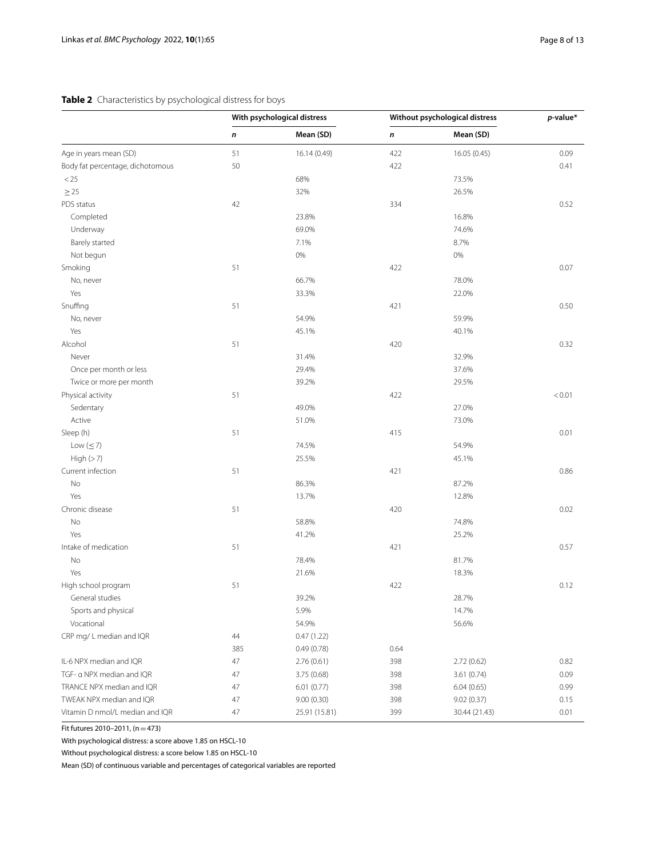## <span id="page-7-0"></span>**Table 2** Characteristics by psychological distress for boys

|                                  | With psychological distress |               | Without psychological distress |               | $p$ -value* |
|----------------------------------|-----------------------------|---------------|--------------------------------|---------------|-------------|
|                                  | n                           | Mean (SD)     | n                              | Mean (SD)     |             |
| Age in years mean (SD)           | 51                          | 16.14 (0.49)  | 422                            | 16.05 (0.45)  | 0.09        |
| Body fat percentage, dichotomous | 50                          |               | 422                            |               | 0.41        |
| < 25                             |                             | 68%           |                                | 73.5%         |             |
| $\geq$ 25                        |                             | 32%           |                                | 26.5%         |             |
| PDS status                       | 42                          |               | 334                            |               | 0.52        |
| Completed                        |                             | 23.8%         |                                | 16.8%         |             |
| Underway                         |                             | 69.0%         |                                | 74.6%         |             |
| Barely started                   |                             | 7.1%          |                                | 8.7%          |             |
| Not begun                        |                             | 0%            |                                | 0%            |             |
| Smoking                          | 51                          |               | 422                            |               | 0.07        |
| No, never                        |                             | 66.7%         |                                | 78.0%         |             |
| Yes                              |                             | 33.3%         |                                | 22.0%         |             |
| Snuffing                         | 51                          |               | 421                            |               | 0.50        |
| No, never                        |                             | 54.9%         |                                | 59.9%         |             |
| Yes                              |                             | 45.1%         |                                | 40.1%         |             |
| Alcohol                          | 51                          |               | 420                            |               | 0.32        |
| Never                            |                             | 31.4%         |                                | 32.9%         |             |
| Once per month or less           |                             | 29.4%         |                                | 37.6%         |             |
| Twice or more per month          |                             | 39.2%         |                                | 29.5%         |             |
| Physical activity                | 51                          |               | 422                            |               | < 0.01      |
| Sedentary                        |                             | 49.0%         |                                | 27.0%         |             |
| Active                           |                             | 51.0%         |                                | 73.0%         |             |
| Sleep (h)                        | 51                          |               | 415                            |               | 0.01        |
| Low $(\leq 7)$                   |                             | 74.5%         |                                | 54.9%         |             |
| High(>7)                         |                             | 25.5%         |                                | 45.1%         |             |
| Current infection                | 51                          |               | 421                            |               | 0.86        |
| No                               |                             | 86.3%         |                                | 87.2%         |             |
| Yes                              |                             | 13.7%         |                                | 12.8%         |             |
| Chronic disease                  | 51                          |               | 420                            |               | 0.02        |
| No                               |                             | 58.8%         |                                | 74.8%         |             |
| Yes                              |                             | 41.2%         |                                | 25.2%         |             |
| Intake of medication             | 51                          |               | 421                            |               | 0.57        |
| No                               |                             | 78.4%         |                                | 81.7%         |             |
| Yes                              |                             | 21.6%         |                                | 18.3%         |             |
| High school program              | 51                          |               | 422                            |               | 0.12        |
| General studies                  |                             | 39.2%         |                                | 28.7%         |             |
| Sports and physical              |                             | 5.9%          |                                | 14.7%         |             |
| Vocational                       |                             | 54.9%         |                                | 56.6%         |             |
| CRP mg/L median and IQR          | 44                          | 0.47(1.22)    |                                |               |             |
|                                  | 385                         | 0.49(0.78)    | 0.64                           |               |             |
| IL-6 NPX median and IQR          | 47                          | 2.76(0.61)    | 398                            | 2.72(0.62)    | 0.82        |
| TGF- a NPX median and IQR        | 47                          | 3.75(0.68)    | 398                            | 3.61(0.74)    | 0.09        |
| TRANCE NPX median and IQR        | 47                          | 6.01(0.77)    | 398                            | 6.04(0.65)    | 0.99        |
| TWEAK NPX median and IQR         | 47                          | 9.00(0.30)    | 398                            | 9.02(0.37)    | 0.15        |
| Vitamin D nmol/L median and IQR  | 47                          | 25.91 (15.81) | 399                            | 30.44 (21.43) | 0.01        |
|                                  |                             |               |                                |               |             |

Fit futures 2010–2011,  $(n=473)$ 

With psychological distress: a score above 1.85 on HSCL-10

Without psychological distress: a score below 1.85 on HSCL-10

Mean (SD) of continuous variable and percentages of categorical variables are reported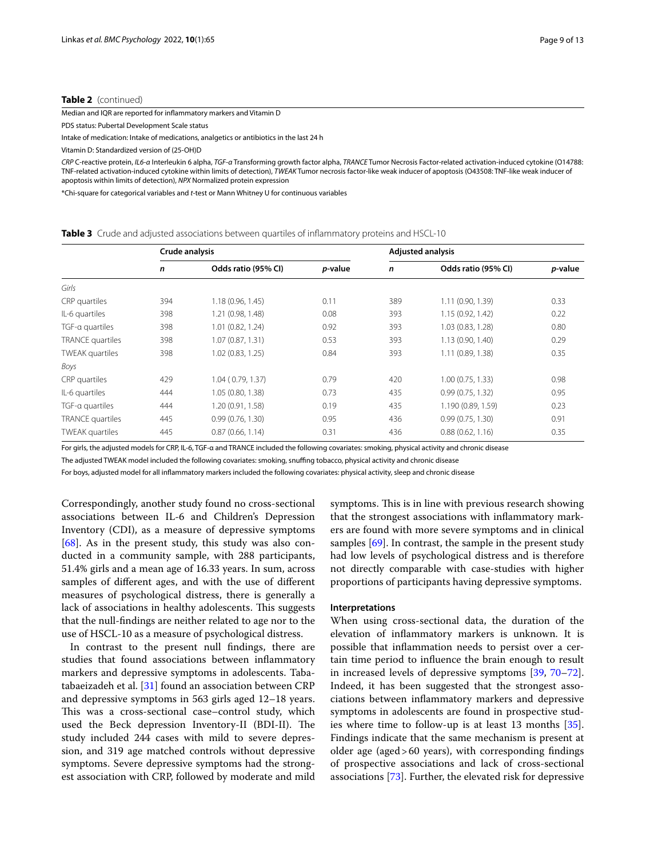#### **Table 2** (continued)

Median and IQR are reported for infammatory markers and Vitamin D

PDS status: Pubertal Development Scale status

Intake of medication: Intake of medications, analgetics or antibiotics in the last 24 h

Vitamin D: Standardized version of (25-OH)D

*CRP* C-reactive protein, *IL6-α* Interleukin 6 alpha, *TGF-α* Transforming growth factor alpha, *TRANCE* Tumor Necrosis Factor-related activation-induced cytokine (O14788: TNF-related activation-induced cytokine within limits of detection), *TWEAK* Tumor necrosis factor-like weak inducer of apoptosis (O43508: TNF-like weak inducer of apoptosis within limits of detection), *NPX* Normalized protein expression

\*Chi-square for categorical variables and *t*-test or Mann Whitney U for continuous variables

<span id="page-8-0"></span>**Table 3** Crude and adjusted associations between quartiles of infammatory proteins and HSCL-10

|                        | Crude analysis |                     |         | <b>Adjusted analysis</b> |                     |                 |  |
|------------------------|----------------|---------------------|---------|--------------------------|---------------------|-----------------|--|
|                        | $\mathsf{n}$   | Odds ratio (95% CI) | p-value | $\mathbf n$              | Odds ratio (95% CI) | <i>p</i> -value |  |
| Girls                  |                |                     |         |                          |                     |                 |  |
| CRP quartiles          | 394            | 1.18(0.96, 1.45)    | 0.11    | 389                      | 1.11 (0.90, 1.39)   | 0.33            |  |
| IL-6 quartiles         | 398            | 1.21 (0.98, 1.48)   | 0.08    | 393                      | 1.15 (0.92, 1.42)   | 0.22            |  |
| TGF-a quartiles        | 398            | 1.01 (0.82, 1.24)   | 0.92    | 393                      | 1.03(0.83, 1.28)    | 0.80            |  |
| TRANCE quartiles       | 398            | 1.07 (0.87, 1.31)   | 0.53    | 393                      | 1.13 (0.90, 1.40)   | 0.29            |  |
| <b>TWEAK</b> quartiles | 398            | 1.02(0.83, 1.25)    | 0.84    | 393                      | 1.11(0.89, 1.38)    | 0.35            |  |
| Boys                   |                |                     |         |                          |                     |                 |  |
| CRP quartiles          | 429            | 1.04(0.79, 1.37)    | 0.79    | 420                      | 1.00(0.75, 1.33)    | 0.98            |  |
| IL-6 quartiles         | 444            | 1.05 (0.80, 1.38)   | 0.73    | 435                      | 0.99(0.75, 1.32)    | 0.95            |  |
| TGF-a quartiles        | 444            | 1.20 (0.91, 1.58)   | 0.19    | 435                      | 1.190 (0.89, 1.59)  | 0.23            |  |
| TRANCE quartiles       | 445            | 0.99(0.76, 1.30)    | 0.95    | 436                      | 0.99(0.75, 1.30)    | 0.91            |  |
| <b>TWEAK</b> quartiles | 445            | 0.87(0.66, 1.14)    | 0.31    | 436                      | 0.88(0.62, 1.16)    | 0.35            |  |

For girls, the adjusted models for CRP, IL-6, TGF-α and TRANCE included the following covariates: smoking, physical activity and chronic disease

The adjusted TWEAK model included the following covariates: smoking, snufng tobacco, physical activity and chronic disease

For boys, adjusted model for all infammatory markers included the following covariates: physical activity, sleep and chronic disease

Correspondingly, another study found no cross-sectional associations between IL-6 and Children's Depression Inventory (CDI), as a measure of depressive symptoms  $[68]$  $[68]$ . As in the present study, this study was also conducted in a community sample, with 288 participants, 51.4% girls and a mean age of 16.33 years. In sum, across samples of diferent ages, and with the use of diferent measures of psychological distress, there is generally a lack of associations in healthy adolescents. This suggests that the null-fndings are neither related to age nor to the use of HSCL-10 as a measure of psychological distress.

In contrast to the present null fndings, there are studies that found associations between infammatory markers and depressive symptoms in adolescents. Tabatabaeizadeh et al. [[31\]](#page-11-6) found an association between CRP and depressive symptoms in 563 girls aged 12–18 years. This was a cross-sectional case–control study, which used the Beck depression Inventory-II (BDI-II). The study included 244 cases with mild to severe depression, and 319 age matched controls without depressive symptoms. Severe depressive symptoms had the strongest association with CRP, followed by moderate and mild symptoms. This is in line with previous research showing that the strongest associations with infammatory markers are found with more severe symptoms and in clinical samples [\[69\]](#page-12-3). In contrast, the sample in the present study had low levels of psychological distress and is therefore not directly comparable with case-studies with higher proportions of participants having depressive symptoms.

#### **Interpretations**

When using cross-sectional data, the duration of the elevation of infammatory markers is unknown. It is possible that infammation needs to persist over a certain time period to infuence the brain enough to result in increased levels of depressive symptoms [[39,](#page-11-15) [70](#page-12-4)[–72](#page-12-5)]. Indeed, it has been suggested that the strongest associations between infammatory markers and depressive symptoms in adolescents are found in prospective studies where time to follow-up is at least 13 months [\[35](#page-11-11)]. Findings indicate that the same mechanism is present at older age (aged>60 years), with corresponding fndings of prospective associations and lack of cross-sectional associations [[73\]](#page-12-6). Further, the elevated risk for depressive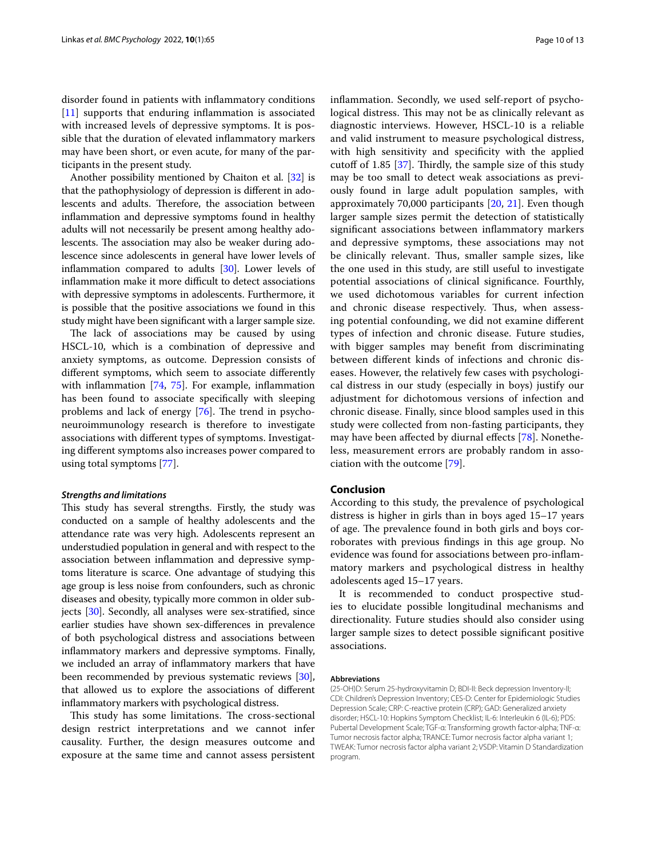disorder found in patients with infammatory conditions [[11\]](#page-10-10) supports that enduring inflammation is associated with increased levels of depressive symptoms. It is possible that the duration of elevated infammatory markers may have been short, or even acute, for many of the participants in the present study.

Another possibility mentioned by Chaiton et al. [\[32\]](#page-11-7) is that the pathophysiology of depression is diferent in adolescents and adults. Therefore, the association between infammation and depressive symptoms found in healthy adults will not necessarily be present among healthy adolescents. The association may also be weaker during adolescence since adolescents in general have lower levels of infammation compared to adults [[30\]](#page-11-5). Lower levels of inflammation make it more difficult to detect associations with depressive symptoms in adolescents. Furthermore, it is possible that the positive associations we found in this study might have been signifcant with a larger sample size.

The lack of associations may be caused by using HSCL-10, which is a combination of depressive and anxiety symptoms, as outcome. Depression consists of diferent symptoms, which seem to associate diferently with inflammation [[74](#page-12-7), [75\]](#page-12-8). For example, inflammation has been found to associate specifcally with sleeping problems and lack of energy  $[76]$ . The trend in psychoneuroimmunology research is therefore to investigate associations with diferent types of symptoms. Investigating diferent symptoms also increases power compared to using total symptoms [[77\]](#page-12-10).

#### *Strengths and limitations*

This study has several strengths. Firstly, the study was conducted on a sample of healthy adolescents and the attendance rate was very high. Adolescents represent an understudied population in general and with respect to the association between infammation and depressive symptoms literature is scarce. One advantage of studying this age group is less noise from confounders, such as chronic diseases and obesity, typically more common in older subjects [[30](#page-11-5)]. Secondly, all analyses were sex-stratifed, since earlier studies have shown sex-diferences in prevalence of both psychological distress and associations between infammatory markers and depressive symptoms. Finally, we included an array of infammatory markers that have been recommended by previous systematic reviews [[30](#page-11-5)], that allowed us to explore the associations of diferent infammatory markers with psychological distress.

This study has some limitations. The cross-sectional design restrict interpretations and we cannot infer causality. Further, the design measures outcome and exposure at the same time and cannot assess persistent infammation. Secondly, we used self-report of psychological distress. This may not be as clinically relevant as diagnostic interviews. However, HSCL-10 is a reliable and valid instrument to measure psychological distress, with high sensitivity and specifcity with the applied cutoff of 1.85  $[37]$  $[37]$ . Thirdly, the sample size of this study may be too small to detect weak associations as previously found in large adult population samples, with approximately 70,000 participants [[20](#page-10-15), [21\]](#page-11-0). Even though larger sample sizes permit the detection of statistically signifcant associations between infammatory markers and depressive symptoms, these associations may not be clinically relevant. Thus, smaller sample sizes, like the one used in this study, are still useful to investigate potential associations of clinical signifcance. Fourthly, we used dichotomous variables for current infection and chronic disease respectively. Thus, when assessing potential confounding, we did not examine diferent types of infection and chronic disease. Future studies, with bigger samples may beneft from discriminating between diferent kinds of infections and chronic diseases. However, the relatively few cases with psychological distress in our study (especially in boys) justify our adjustment for dichotomous versions of infection and chronic disease. Finally, since blood samples used in this study were collected from non-fasting participants, they may have been afected by diurnal efects [[78\]](#page-12-11). Nonetheless, measurement errors are probably random in association with the outcome [[79\]](#page-12-12).

## **Conclusion**

According to this study, the prevalence of psychological distress is higher in girls than in boys aged 15–17 years of age. The prevalence found in both girls and boys corroborates with previous fndings in this age group. No evidence was found for associations between pro-infammatory markers and psychological distress in healthy adolescents aged 15–17 years.

It is recommended to conduct prospective studies to elucidate possible longitudinal mechanisms and directionality. Future studies should also consider using larger sample sizes to detect possible signifcant positive associations.

#### **Abbreviations**

(25-OH)D: Serum 25-hydroxyvitamin D; BDI-II: Beck depression Inventory-II; CDI: Children's Depression Inventory; CES-D: Center for Epidemiologic Studies Depression Scale; CRP: C-reactive protein (CRP); GAD: Generalized anxiety disorder; HSCL-10: Hopkins Symptom Checklist; IL-6: Interleukin 6 (IL-6); PDS: Pubertal Development Scale; TGF-α: Transforming growth factor-alpha; TNF-α: Tumor necrosis factor alpha; TRANCE: Tumor necrosis factor alpha variant 1; TWEAK: Tumor necrosis factor alpha variant 2; VSDP: Vitamin D Standardization program.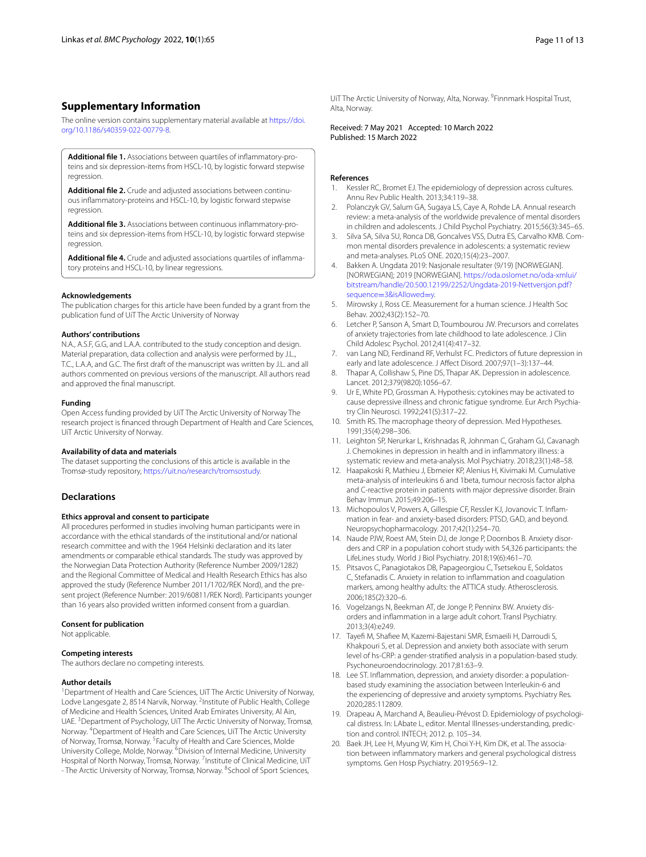## **Supplementary Information**

The online version contains supplementary material available at [https://doi.](https://doi.org/10.1186/s40359-022-00779-8) [org/10.1186/s40359-022-00779-8](https://doi.org/10.1186/s40359-022-00779-8).

<span id="page-10-16"></span>Additional file 1. Associations between quartiles of inflammatory-proteins and six depression-items from HSCL-10, by logistic forward stepwise regression.

<span id="page-10-17"></span>**Additional fle 2.** Crude and adjusted associations between continu‑ ous infammatory-proteins and HSCL-10, by logistic forward stepwise regression.

<span id="page-10-18"></span>**Additional file 3.** Associations between continuous inflammatory-proteins and six depression-items from HSCL-10, by logistic forward stepwise regression

<span id="page-10-19"></span>Additional file 4. Crude and adjusted associations quartiles of inflammatory proteins and HSCL-10, by linear regressions.

#### **Acknowledgements**

The publication charges for this article have been funded by a grant from the publication fund of UiT The Arctic University of Norway

#### **Authors' contributions**

N.A., A.S.F, G.G, and L.A.A. contributed to the study conception and design. Material preparation, data collection and analysis were performed by J.L., T.C., L.A.A, and G.C. The frst draft of the manuscript was written by J.L. and all authors commented on previous versions of the manuscript. All authors read and approved the fnal manuscript.

#### **Funding**

Open Access funding provided by UiT The Arctic University of Norway The research project is fnanced through Department of Health and Care Sciences, UiT Arctic University of Norway.

#### **Availability of data and materials**

The dataset supporting the conclusions of this article is available in the Tromsø-study repository, [https://uit.no/research/tromsostudy.](https://uit.no/research/tromsostudy)

#### **Declarations**

#### **Ethics approval and consent to participate**

All procedures performed in studies involving human participants were in accordance with the ethical standards of the institutional and/or national research committee and with the 1964 Helsinki declaration and its later amendments or comparable ethical standards. The study was approved by the Norwegian Data Protection Authority (Reference Number 2009/1282) and the Regional Committee of Medical and Health Research Ethics has also approved the study (Reference Number 2011/1702/REK Nord), and the present project (Reference Number: 2019/60811/REK Nord). Participants younger than 16 years also provided written informed consent from a guardian.

#### **Consent for publication**

Not applicable.

#### **Competing interests**

The authors declare no competing interests.

#### **Author details**

<sup>1</sup> Department of Health and Care Sciences, UiT The Arctic University of Norway, Lodve Langesgate 2, 8514 Narvik, Norway. <sup>2</sup>Institute of Public Health, College of Medicine and Health Sciences, United Arab Emirates University, Al Ain, UAE.<sup>3</sup> Department of Psychology, UiT The Arctic University of Norway, Tromsø, Norway. 4 Department of Health and Care Sciences, UiT The Arctic University of Norway, Tromsø, Norway. <sup>5</sup> Faculty of Health and Care Sciences, Molde University College, Molde, Norway. <sup>6</sup> Division of Internal Medicine, University Hospital of North Norway, Tromsø, Norway. <sup>7</sup>Institute of Clinical Medicine, UiT - The Arctic University of Norway, Tromsø, Norway. <sup>8</sup>School of Sport Sciences,

UiT The Arctic University of Norway, Alta, Norway. <sup>9</sup> Finnmark Hospital Trust, Alta, Norway.

Received: 7 May 2021 Accepted: 10 March 2022 Published: 15 March 2022

#### **References**

- <span id="page-10-0"></span>Kessler RC, Bromet EJ. The epidemiology of depression across cultures. Annu Rev Public Health. 2013;34:119–38.
- <span id="page-10-1"></span>2. Polanczyk GV, Salum GA, Sugaya LS, Caye A, Rohde LA. Annual research review: a meta-analysis of the worldwide prevalence of mental disorders in children and adolescents. J Child Psychol Psychiatry. 2015;56(3):345–65.
- <span id="page-10-2"></span>3. Silva SA, Silva SU, Ronca DB, Goncalves VSS, Dutra ES, Carvalho KMB. Common mental disorders prevalence in adolescents: a systematic review and meta-analyses. PLoS ONE. 2020;15(4):23–2007.
- <span id="page-10-3"></span>4. Bakken A. Ungdata 2019: Nasjonale resultater (9/19) [NORWEGIAN]. [NORWEGIAN]; 2019 [NORWEGIAN]. [https://oda.oslomet.no/oda-xmlui/](https://oda.oslomet.no/oda-xmlui/bitstream/handle/20.500.12199/2252/Ungdata-2019-Nettversjon.pdf?sequence=3&isAllowed=y) [bitstream/handle/20.500.12199/2252/Ungdata-2019-Nettversjon.pdf?](https://oda.oslomet.no/oda-xmlui/bitstream/handle/20.500.12199/2252/Ungdata-2019-Nettversjon.pdf?sequence=3&isAllowed=y) sequence=3&isAllowed=y.
- <span id="page-10-4"></span>5. [Mirowsky J, Ross CE. Measu](https://oda.oslomet.no/oda-xmlui/bitstream/handle/20.500.12199/2252/Ungdata-2019-Nettversjon.pdf?sequence=3&isAllowed=y)rement for a human science. J Health Soc Behav. 2002;43(2):152–70.
- <span id="page-10-5"></span>6. Letcher P, Sanson A, Smart D, Toumbourou JW. Precursors and correlates of anxiety trajectories from late childhood to late adolescence. J Clin Child Adolesc Psychol. 2012;41(4):417–32.
- <span id="page-10-6"></span>7. van Lang ND, Ferdinand RF, Verhulst FC. Predictors of future depression in early and late adolescence. J Afect Disord. 2007;97(1–3):137–44.
- <span id="page-10-7"></span>8. Thapar A, Collishaw S, Pine DS, Thapar AK. Depression in adolescence. Lancet. 2012;379(9820):1056–67.
- <span id="page-10-8"></span>9. Ur E, White PD, Grossman A. Hypothesis: cytokines may be activated to cause depressive illness and chronic fatigue syndrome. Eur Arch Psychiatry Clin Neurosci. 1992;241(5):317–22.
- <span id="page-10-9"></span>10. Smith RS. The macrophage theory of depression. Med Hypotheses. 1991;35(4):298–306.
- <span id="page-10-10"></span>11. Leighton SP, Nerurkar L, Krishnadas R, Johnman C, Graham GJ, Cavanagh J. Chemokines in depression in health and in infammatory illness: a systematic review and meta-analysis. Mol Psychiatry. 2018;23(1):48–58.
- <span id="page-10-11"></span>12. Haapakoski R, Mathieu J, Ebmeier KP, Alenius H, Kivimaki M. Cumulative meta-analysis of interleukins 6 and 1beta, tumour necrosis factor alpha and C-reactive protein in patients with major depressive disorder. Brain Behav Immun. 2015;49:206–15.
- <span id="page-10-12"></span>13. Michopoulos V, Powers A, Gillespie CF, Ressler KJ, Jovanovic T. Inflammation in fear- and anxiety-based disorders: PTSD, GAD, and beyond. Neuropsychopharmacology. 2017;42(1):254–70.
- 14. Naude PJW, Roest AM, Stein DJ, de Jonge P, Doornbos B. Anxiety disorders and CRP in a population cohort study with 54,326 participants: the LifeLines study. World J Biol Psychiatry. 2018;19(6):461–70.
- 15. Pitsavos C, Panagiotakos DB, Papageorgiou C, Tsetsekou E, Soldatos C, Stefanadis C. Anxiety in relation to infammation and coagulation markers, among healthy adults: the ATTICA study. Atherosclerosis. 2006;185(2):320–6.
- 16. Vogelzangs N, Beekman AT, de Jonge P, Penninx BW. Anxiety disorders and infammation in a large adult cohort. Transl Psychiatry. 2013;3(4):e249.
- 17. Tayefi M, Shafiee M, Kazemi-Bajestani SMR, Esmaeili H, Darroudi S, Khakpouri S, et al. Depression and anxiety both associate with serum level of hs-CRP: a gender-stratifed analysis in a population-based study. Psychoneuroendocrinology. 2017;81:63–9.
- <span id="page-10-13"></span>18. Lee ST. Infammation, depression, and anxiety disorder: a populationbased study examining the association between Interleukin-6 and the experiencing of depressive and anxiety symptoms. Psychiatry Res. 2020;285:112809.
- <span id="page-10-14"></span>19. Drapeau A, Marchand A, Beaulieu-Prévost D. Epidemiology of psychological distress. In: LAbate L, editor. Mental Illnesses-understanding, prediction and control. INTECH; 2012. p. 105–34.
- <span id="page-10-15"></span>20. Baek JH, Lee H, Myung W, Kim H, Choi Y-H, Kim DK, et al. The association between infammatory markers and general psychological distress symptoms. Gen Hosp Psychiatry. 2019;56:9–12.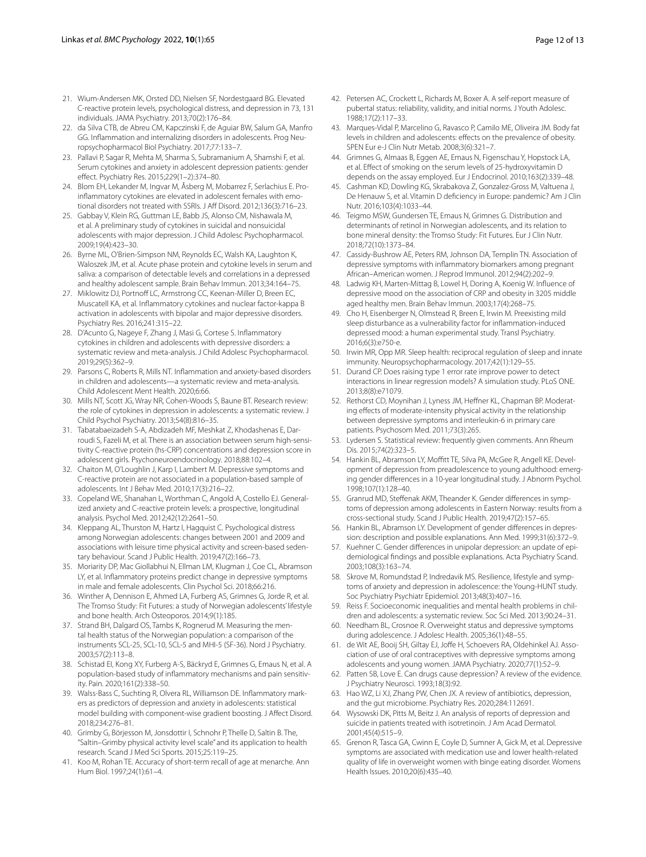- <span id="page-11-0"></span>21. Wium-Andersen MK, Orsted DD, Nielsen SF, Nordestgaard BG. Elevated C-reactive protein levels, psychological distress, and depression in 73, 131 individuals. JAMA Psychiatry. 2013;70(2):176–84.
- <span id="page-11-1"></span>22. da Silva CTB, de Abreu CM, Kapczinski F, de Aguiar BW, Salum GA, Manfro GG. Inflammation and internalizing disorders in adolescents. Prog Neuropsychopharmacol Biol Psychiatry. 2017;77:133–7.
- <span id="page-11-9"></span>23. Pallavi P, Sagar R, Mehta M, Sharma S, Subramanium A, Shamshi F, et al. Serum cytokines and anxiety in adolescent depression patients: gender efect. Psychiatry Res. 2015;229(1–2):374–80.
- 24. Blom EH, Lekander M, Ingvar M, Åsberg M, Mobarrez F, Serlachius E. Proinflammatory cytokines are elevated in adolescent females with emotional disorders not treated with SSRIs. J Aff Disord. 2012;136(3):716-23.
- 25. Gabbay V, Klein RG, Guttman LE, Babb JS, Alonso CM, Nishawala M, et al. A preliminary study of cytokines in suicidal and nonsuicidal adolescents with major depression. J Child Adolesc Psychopharmacol. 2009;19(4):423–30.
- 26. Byrne ML, O'Brien-Simpson NM, Reynolds EC, Walsh KA, Laughton K, Waloszek JM, et al. Acute phase protein and cytokine levels in serum and saliva: a comparison of detectable levels and correlations in a depressed and healthy adolescent sample. Brain Behav Immun. 2013;34:164–75.
- <span id="page-11-2"></span>27. Miklowitz DJ, Portnoff LC, Armstrong CC, Keenan-Miller D, Breen EC, Muscatell KA, et al. Infammatory cytokines and nuclear factor-kappa B activation in adolescents with bipolar and major depressive disorders. Psychiatry Res. 2016;241:315–22.
- <span id="page-11-3"></span>28. D'Acunto G, Nageye F, Zhang J, Masi G, Cortese S. Infammatory cytokines in children and adolescents with depressive disorders: a systematic review and meta-analysis. J Child Adolesc Psychopharmacol. 2019;29(5):362–9.
- <span id="page-11-4"></span>29. Parsons C, Roberts R, Mills NT. Infammation and anxiety-based disorders in children and adolescents—a systematic review and meta-analysis. Child Adolescent Ment Health. 2020;6:66.
- <span id="page-11-5"></span>30. Mills NT, Scott JG, Wray NR, Cohen-Woods S, Baune BT. Research review: the role of cytokines in depression in adolescents: a systematic review. J Child Psychol Psychiatry. 2013;54(8):816–35.
- <span id="page-11-6"></span>31. Tabatabaeizadeh S-A, Abdizadeh MF, Meshkat Z, Khodashenas E, Dar‑ roudi S, Fazeli M, et al. There is an association between serum high-sensitivity C-reactive protein (hs-CRP) concentrations and depression score in adolescent girls. Psychoneuroendocrinology. 2018;88:102–4.
- <span id="page-11-7"></span>32. Chaiton M, O'Loughlin J, Karp I, Lambert M. Depressive symptoms and C-reactive protein are not associated in a population-based sample of adolescents. Int J Behav Med. 2010;17(3):216–22.
- <span id="page-11-8"></span>33. Copeland WE, Shanahan L, Worthman C, Angold A, Costello EJ. Generalized anxiety and C-reactive protein levels: a prospective, longitudinal analysis. Psychol Med. 2012;42(12):2641–50.
- <span id="page-11-10"></span>34. Kleppang AL, Thurston M, Hartz I, Hagquist C. Psychological distress among Norwegian adolescents: changes between 2001 and 2009 and associations with leisure time physical activity and screen-based sedentary behaviour. Scand J Public Health. 2019;47(2):166–73.
- <span id="page-11-11"></span>35. Moriarity DP, Mac Giollabhui N, Ellman LM, Klugman J, Coe CL, Abramson LY, et al. Infammatory proteins predict change in depressive symptoms in male and female adolescents. Clin Psychol Sci. 2018;66:216.
- <span id="page-11-12"></span>36. Winther A, Dennison E, Ahmed LA, Furberg AS, Grimnes G, Jorde R, et al. The Tromso Study: Fit Futures: a study of Norwegian adolescents' lifestyle and bone health. Arch Osteoporos. 2014;9(1):185.
- <span id="page-11-13"></span>37. Strand BH, Dalgard OS, Tambs K, Rognerud M. Measuring the mental health status of the Norwegian population: a comparison of the instruments SCL-25, SCL-10, SCL-5 and MHI-5 (SF-36). Nord J Psychiatry. 2003;57(2):113–8.
- <span id="page-11-14"></span>38. Schistad EI, Kong XY, Furberg A-S, Bäckryd E, Grimnes G, Emaus N, et al. A population-based study of inflammatory mechanisms and pain sensitivity. Pain. 2020;161(2):338–50.
- <span id="page-11-15"></span>39. Walss-Bass C, Suchting R, Olvera RL, Williamson DE. Inflammatory markers as predictors of depression and anxiety in adolescents: statistical model building with component-wise gradient boosting. J Afect Disord. 2018;234:276–81.
- <span id="page-11-16"></span>40. Grimby G, Börjesson M, Jonsdottir I, Schnohr P, Thelle D, Saltin B. The, "Saltin–Grimby physical activity level scale" and its application to health research. Scand J Med Sci Sports. 2015;25:119–25.
- <span id="page-11-17"></span>41. Koo M, Rohan TE. Accuracy of short-term recall of age at menarche. Ann Hum Biol. 1997;24(1):61–4.
- <span id="page-11-18"></span>42. Petersen AC, Crockett L, Richards M, Boxer A. A self-report measure of pubertal status: reliability, validity, and initial norms. J Youth Adolesc. 1988;17(2):117–33.
- <span id="page-11-19"></span>43. Marques-Vidal P, Marcelino G, Ravasco P, Camilo ME, Oliveira JM. Body fat levels in children and adolescents: efects on the prevalence of obesity. SPEN Eur e-J Clin Nutr Metab. 2008;3(6):321–7.
- <span id="page-11-20"></span>44. Grimnes G, Almaas B, Eggen AE, Emaus N, Figenschau Y, Hopstock LA, et al. Efect of smoking on the serum levels of 25-hydroxyvitamin D depends on the assay employed. Eur J Endocrinol. 2010;163(2):339–48.
- <span id="page-11-21"></span>45. Cashman KD, Dowling KG, Skrabakova Z, Gonzalez-Gross M, Valtuena J, De Henauw S, et al. Vitamin D defciency in Europe: pandemic? Am J Clin Nutr. 2016;103(4):1033–44.
- <span id="page-11-22"></span>46. Teigmo MSW, Gundersen TE, Emaus N, Grimnes G. Distribution and determinants of retinol in Norwegian adolescents, and its relation to bone mineral density: the Tromso Study: Fit Futures. Eur J Clin Nutr. 2018;72(10):1373–84.
- <span id="page-11-23"></span>47. Cassidy-Bushrow AE, Peters RM, Johnson DA, Templin TN. Association of depressive symptoms with infammatory biomarkers among pregnant African–American women. J Reprod Immunol. 2012;94(2):202–9.
- 48. Ladwig KH, Marten-Mittag B, Lowel H, Doring A, Koenig W. Infuence of depressive mood on the association of CRP and obesity in 3205 middle aged healthy men. Brain Behav Immun. 2003;17(4):268–75.
- 49. Cho H, Eisenberger N, Olmstead R, Breen E, Irwin M. Preexisting mild sleep disturbance as a vulnerability factor for infammation-induced depressed mood: a human experimental study. Transl Psychiatry. 2016;6(3):e750-e.
- 50. Irwin MR, Opp MR. Sleep health: reciprocal regulation of sleep and innate immunity. Neuropsychopharmacology. 2017;42(1):129–55.
- 51. Durand CP. Does raising type 1 error rate improve power to detect interactions in linear regression models? A simulation study. PLoS ONE. 2013;8(8):e71079.
- <span id="page-11-24"></span>52. Rethorst CD, Moynihan J, Lyness JM, Heffner KL, Chapman BP. Moderating effects of moderate-intensity physical activity in the relationship between depressive symptoms and interleukin-6 in primary care patients. Psychosom Med. 2011;73(3):265.
- <span id="page-11-25"></span>53. Lydersen S. Statistical review: frequently given comments. Ann Rheum Dis. 2015;74(2):323–5.
- <span id="page-11-26"></span>54. Hankin BL, Abramson LY, Moffitt TE, Silva PA, McGee R, Angell KE. Development of depression from preadolescence to young adulthood: emerging gender diferences in a 10-year longitudinal study. J Abnorm Psychol. 1998;107(1):128–40.
- <span id="page-11-27"></span>55. Granrud MD, Steffenak AKM, Theander K. Gender differences in symptoms of depression among adolescents in Eastern Norway: results from a cross-sectional study. Scand J Public Health. 2019;47(2):157–65.
- <span id="page-11-28"></span>56. Hankin BL, Abramson LY. Development of gender differences in depression: description and possible explanations. Ann Med. 1999;31(6):372–9.
- <span id="page-11-29"></span>57. Kuehner C. Gender differences in unipolar depression: an update of epidemiological fndings and possible explanations. Acta Psychiatry Scand. 2003;108(3):163–74.
- <span id="page-11-30"></span>58. Skrove M, Romundstad P, Indredavik MS. Resilience, lifestyle and symptoms of anxiety and depression in adolescence: the Young-HUNT study. Soc Psychiatry Psychiatr Epidemiol. 2013;48(3):407–16.
- <span id="page-11-31"></span>59. Reiss F. Socioeconomic inequalities and mental health problems in children and adolescents: a systematic review. Soc Sci Med. 2013;90:24–31.
- <span id="page-11-32"></span>60. Needham BL, Crosnoe R. Overweight status and depressive symptoms during adolescence. J Adolesc Health. 2005;36(1):48–55.
- <span id="page-11-33"></span>61. de Wit AE, Booij SH, Giltay EJ, Joffe H, Schoevers RA, Oldehinkel AJ. Association of use of oral contraceptives with depressive symptoms among adolescents and young women. JAMA Psychiatry. 2020;77(1):52–9.
- <span id="page-11-34"></span>62. Patten SB, Love E. Can drugs cause depression? A review of the evidence. J Psychiatry Neurosci. 1993;18(3):92.
- 63. Hao WZ, Li XJ, Zhang PW, Chen JX. A review of antibiotics, depression, and the gut microbiome. Psychiatry Res. 2020;284:112691.
- 64. Wysowski DK, Pitts M, Beitz J. An analysis of reports of depression and suicide in patients treated with isotretinoin. J Am Acad Dermatol. 2001;45(4):515–9.
- <span id="page-11-35"></span>65. Grenon R, Tasca GA, Cwinn E, Coyle D, Sumner A, Gick M, et al. Depressive symptoms are associated with medication use and lower health-related quality of life in overweight women with binge eating disorder. Womens Health Issues. 2010;20(6):435–40.